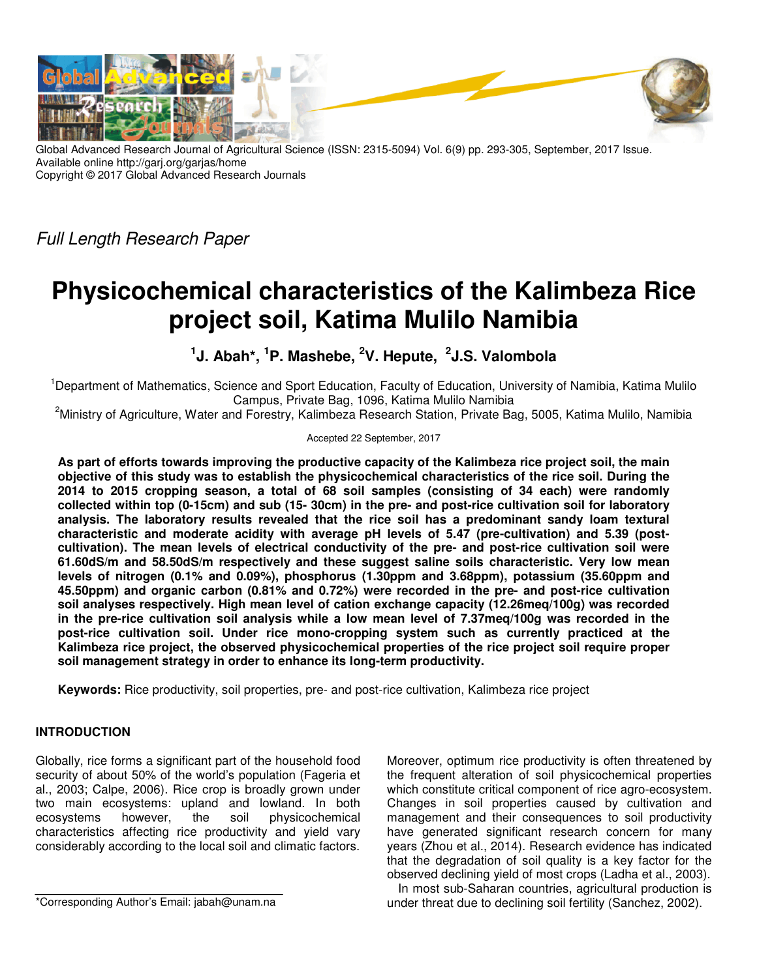

Global Advanced Research Journal of Agricultural Science (ISSN: 2315-5094) Vol. 6(9) pp. 293-305, September, 2017 Issue. Available online http://garj.org/garjas/home Copyright © 2017 Global Advanced Research Journals

Full Length Research Paper

# **Physicochemical characteristics of the Kalimbeza Rice project soil, Katima Mulilo Namibia**

**1 J. Abah\*, <sup>1</sup>P. Mashebe, <sup>2</sup>V. Hepute, <sup>2</sup> J.S. Valombola** 

<sup>1</sup>Department of Mathematics, Science and Sport Education, Faculty of Education, University of Namibia, Katima Mulilo Campus, Private Bag, 1096, Katima Mulilo Namibia

<sup>2</sup>Ministry of Agriculture, Water and Forestry, Kalimbeza Research Station, Private Bag, 5005, Katima Mulilo, Namibia

Accepted 22 September, 2017

**As part of efforts towards improving the productive capacity of the Kalimbeza rice project soil, the main objective of this study was to establish the physicochemical characteristics of the rice soil. During the 2014 to 2015 cropping season, a total of 68 soil samples (consisting of 34 each) were randomly collected within top (0-15cm) and sub (15- 30cm) in the pre- and post-rice cultivation soil for laboratory analysis. The laboratory results revealed that the rice soil has a predominant sandy loam textural characteristic and moderate acidity with average pH levels of 5.47 (pre-cultivation) and 5.39 (postcultivation). The mean levels of electrical conductivity of the pre- and post-rice cultivation soil were 61.60dS/m and 58.50dS/m respectively and these suggest saline soils characteristic. Very low mean levels of nitrogen (0.1% and 0.09%), phosphorus (1.30ppm and 3.68ppm), potassium (35.60ppm and 45.50ppm) and organic carbon (0.81% and 0.72%) were recorded in the pre- and post-rice cultivation soil analyses respectively. High mean level of cation exchange capacity (12.26meq/100g) was recorded in the pre-rice cultivation soil analysis while a low mean level of 7.37meq/100g was recorded in the post-rice cultivation soil. Under rice mono-cropping system such as currently practiced at the Kalimbeza rice project, the observed physicochemical properties of the rice project soil require proper soil management strategy in order to enhance its long-term productivity.** 

**Keywords:** Rice productivity, soil properties, pre- and post-rice cultivation, Kalimbeza rice project

# **INTRODUCTION**

Globally, rice forms a significant part of the household food security of about 50% of the world's population (Fageria et al., 2003; Calpe, 2006). Rice crop is broadly grown under two main ecosystems: upland and lowland. In both ecosystems however, the soil physicochemical characteristics affecting rice productivity and yield vary considerably according to the local soil and climatic factors.

\*Corresponding Author's Email: jabah@unam.na

Moreover, optimum rice productivity is often threatened by the frequent alteration of soil physicochemical properties which constitute critical component of rice agro-ecosystem. Changes in soil properties caused by cultivation and management and their consequences to soil productivity have generated significant research concern for many years (Zhou et al., 2014). Research evidence has indicated that the degradation of soil quality is a key factor for the observed declining yield of most crops (Ladha et al., 2003).

In most sub-Saharan countries, agricultural production is under threat due to declining soil fertility (Sanchez, 2002).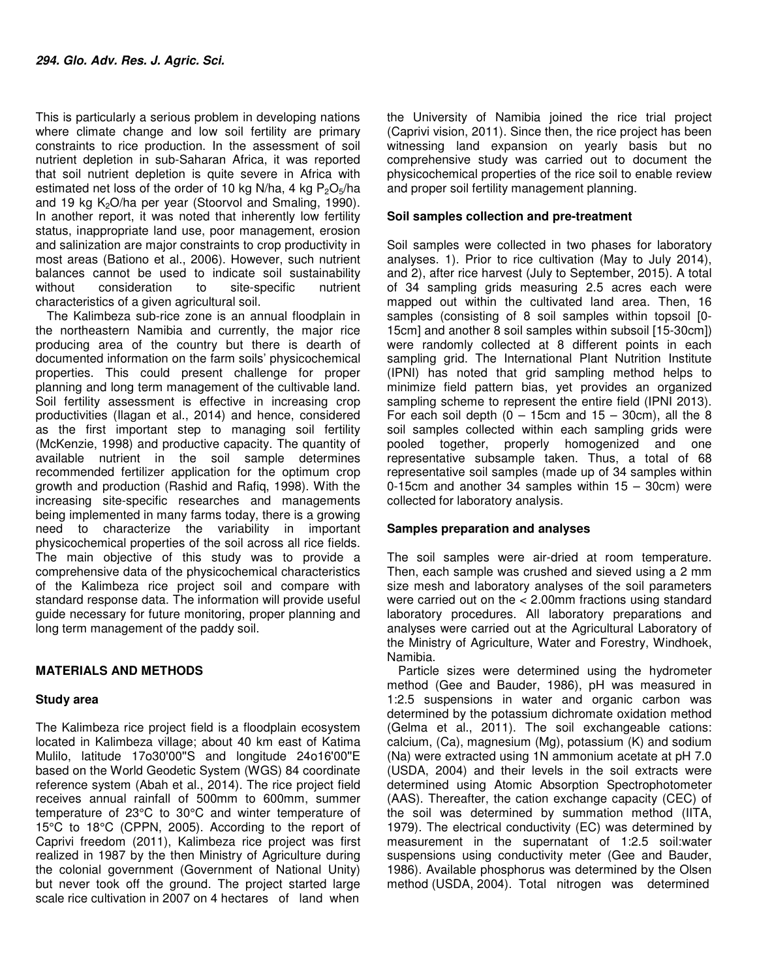This is particularly a serious problem in developing nations where climate change and low soil fertility are primary constraints to rice production. In the assessment of soil nutrient depletion in sub-Saharan Africa, it was reported that soil nutrient depletion is quite severe in Africa with estimated net loss of the order of 10 kg N/ha, 4 kg  $P_2O_5/ha$ and 19 kg  $K<sub>2</sub>O/ha$  per year (Stoorvol and Smaling, 1990). In another report, it was noted that inherently low fertility status, inappropriate land use, poor management, erosion and salinization are major constraints to crop productivity in most areas (Bationo et al., 2006). However, such nutrient balances cannot be used to indicate soil sustainability without consideration to site-specific nutrient characteristics of a given agricultural soil.

The Kalimbeza sub-rice zone is an annual floodplain in the northeastern Namibia and currently, the major rice producing area of the country but there is dearth of documented information on the farm soils' physicochemical properties. This could present challenge for proper planning and long term management of the cultivable land. Soil fertility assessment is effective in increasing crop productivities (Ilagan et al., 2014) and hence, considered as the first important step to managing soil fertility (McKenzie, 1998) and productive capacity. The quantity of available nutrient in the soil sample determines recommended fertilizer application for the optimum crop growth and production (Rashid and Rafiq, 1998). With the increasing site-specific researches and managements being implemented in many farms today, there is a growing need to characterize the variability in important physicochemical properties of the soil across all rice fields. The main objective of this study was to provide a comprehensive data of the physicochemical characteristics of the Kalimbeza rice project soil and compare with standard response data. The information will provide useful guide necessary for future monitoring, proper planning and long term management of the paddy soil.

# **MATERIALS AND METHODS**

# **Study area**

The Kalimbeza rice project field is a floodplain ecosystem located in Kalimbeza village; about 40 km east of Katima Mulilo, latitude 17o30'00"S and longitude 24o16'00"E based on the World Geodetic System (WGS) 84 coordinate reference system (Abah et al., 2014). The rice project field receives annual rainfall of 500mm to 600mm, summer temperature of 23°C to 30°C and winter temperature of 15°C to 18°C (CPPN, 2005). According to the report of Caprivi freedom (2011), Kalimbeza rice project was first realized in 1987 by the then Ministry of Agriculture during the colonial government (Government of National Unity) but never took off the ground. The project started large scale rice cultivation in 2007 on 4 hectares of land when

the University of Namibia joined the rice trial project (Caprivi vision, 2011). Since then, the rice project has been witnessing land expansion on yearly basis but no comprehensive study was carried out to document the physicochemical properties of the rice soil to enable review and proper soil fertility management planning.

# **Soil samples collection and pre-treatment**

Soil samples were collected in two phases for laboratory analyses. 1). Prior to rice cultivation (May to July 2014), and 2), after rice harvest (July to September, 2015). A total of 34 sampling grids measuring 2.5 acres each were mapped out within the cultivated land area. Then, 16 samples (consisting of 8 soil samples within topsoil [0- 15cm] and another 8 soil samples within subsoil [15-30cm]) were randomly collected at 8 different points in each sampling grid. The International Plant Nutrition Institute (IPNI) has noted that grid sampling method helps to minimize field pattern bias, yet provides an organized sampling scheme to represent the entire field (IPNI 2013). For each soil depth  $(0 - 15$ cm and  $15 - 30$ cm), all the 8 soil samples collected within each sampling grids were pooled together, properly homogenized and one representative subsample taken. Thus, a total of 68 representative soil samples (made up of 34 samples within 0-15cm and another 34 samples within  $15 - 30$ cm) were collected for laboratory analysis.

# **Samples preparation and analyses**

The soil samples were air-dried at room temperature. Then, each sample was crushed and sieved using a 2 mm size mesh and laboratory analyses of the soil parameters were carried out on the < 2.00mm fractions using standard laboratory procedures. All laboratory preparations and analyses were carried out at the Agricultural Laboratory of the Ministry of Agriculture, Water and Forestry, Windhoek, Namibia.

Particle sizes were determined using the hydrometer method (Gee and Bauder, 1986), pH was measured in 1:2.5 suspensions in water and organic carbon was determined by the potassium dichromate oxidation method (Gelma et al., 2011). The soil exchangeable cations: calcium, (Ca), magnesium (Mg), potassium (K) and sodium (Na) were extracted using 1N ammonium acetate at pH 7.0 (USDA, 2004) and their levels in the soil extracts were determined using Atomic Absorption Spectrophotometer (AAS). Thereafter, the cation exchange capacity (CEC) of the soil was determined by summation method (IITA, 1979). The electrical conductivity (EC) was determined by measurement in the supernatant of 1:2.5 soil:water suspensions using conductivity meter (Gee and Bauder, 1986). Available phosphorus was determined by the Olsen method (USDA, 2004). Total nitrogen was determined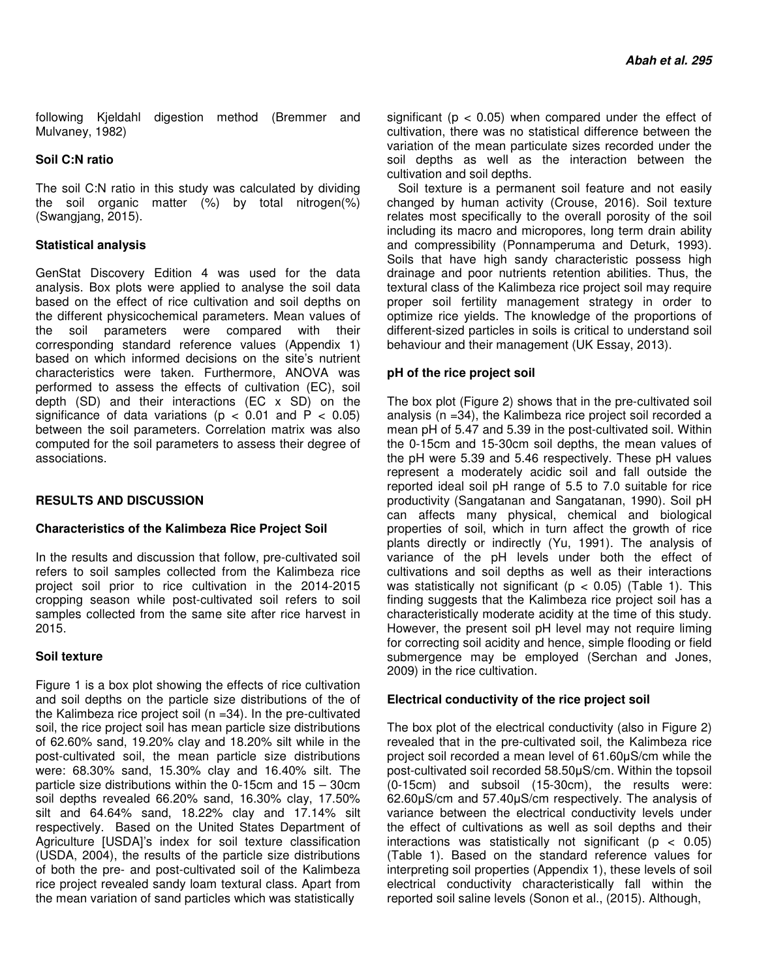following Kjeldahl digestion method (Bremmer and Mulvaney, 1982)

## **Soil C:N ratio**

The soil C:N ratio in this study was calculated by dividing the soil organic matter (%) by total nitrogen(%) (Swangjang, 2015).

## **Statistical analysis**

GenStat Discovery Edition 4 was used for the data analysis. Box plots were applied to analyse the soil data based on the effect of rice cultivation and soil depths on the different physicochemical parameters. Mean values of the soil parameters were compared with their corresponding standard reference values (Appendix 1) based on which informed decisions on the site's nutrient characteristics were taken. Furthermore, ANOVA was performed to assess the effects of cultivation (EC), soil depth (SD) and their interactions (EC x SD) on the significance of data variations ( $p < 0.01$  and  $P < 0.05$ ) between the soil parameters. Correlation matrix was also computed for the soil parameters to assess their degree of associations.

# **RESULTS AND DISCUSSION**

#### **Characteristics of the Kalimbeza Rice Project Soil**

In the results and discussion that follow, pre-cultivated soil refers to soil samples collected from the Kalimbeza rice project soil prior to rice cultivation in the 2014-2015 cropping season while post-cultivated soil refers to soil samples collected from the same site after rice harvest in 2015.

#### **Soil texture**

Figure 1 is a box plot showing the effects of rice cultivation and soil depths on the particle size distributions of the of the Kalimbeza rice project soil (n =34). In the pre-cultivated soil, the rice project soil has mean particle size distributions of 62.60% sand, 19.20% clay and 18.20% silt while in the post-cultivated soil, the mean particle size distributions were: 68.30% sand, 15.30% clay and 16.40% silt. The particle size distributions within the 0-15cm and 15 – 30cm soil depths revealed 66.20% sand, 16.30% clay, 17.50% silt and 64.64% sand, 18.22% clay and 17.14% silt respectively. Based on the United States Department of Agriculture [USDA]'s index for soil texture classification (USDA, 2004), the results of the particle size distributions of both the pre- and post-cultivated soil of the Kalimbeza rice project revealed sandy loam textural class. Apart from the mean variation of sand particles which was statistically

significant ( $p < 0.05$ ) when compared under the effect of cultivation, there was no statistical difference between the variation of the mean particulate sizes recorded under the soil depths as well as the interaction between the cultivation and soil depths.

Soil texture is a permanent soil feature and not easily changed by human activity (Crouse, 2016). Soil texture relates most specifically to the overall porosity of the soil including its macro and micropores, long term drain ability and compressibility (Ponnamperuma and Deturk, 1993). Soils that have high sandy characteristic possess high drainage and poor nutrients retention abilities. Thus, the textural class of the Kalimbeza rice project soil may require proper soil fertility management strategy in order to optimize rice yields. The knowledge of the proportions of different-sized particles in soils is critical to understand soil behaviour and their management (UK Essay, 2013).

## **pH of the rice project soil**

The box plot (Figure 2) shows that in the pre-cultivated soil analysis (n =34), the Kalimbeza rice project soil recorded a mean pH of 5.47 and 5.39 in the post-cultivated soil. Within the 0-15cm and 15-30cm soil depths, the mean values of the pH were 5.39 and 5.46 respectively. These pH values represent a moderately acidic soil and fall outside the reported ideal soil pH range of 5.5 to 7.0 suitable for rice productivity (Sangatanan and Sangatanan, 1990). Soil pH can affects many physical, chemical and biological properties of soil, which in turn affect the growth of rice plants directly or indirectly (Yu, 1991). The analysis of variance of the pH levels under both the effect of cultivations and soil depths as well as their interactions was statistically not significant ( $p < 0.05$ ) (Table 1). This finding suggests that the Kalimbeza rice project soil has a characteristically moderate acidity at the time of this study. However, the present soil pH level may not require liming for correcting soil acidity and hence, simple flooding or field submergence may be employed (Serchan and Jones, 2009) in the rice cultivation.

# **Electrical conductivity of the rice project soil**

The box plot of the electrical conductivity (also in Figure 2) revealed that in the pre-cultivated soil, the Kalimbeza rice project soil recorded a mean level of 61.60µS/cm while the post-cultivated soil recorded 58.50µS/cm. Within the topsoil (0-15cm) and subsoil (15-30cm), the results were: 62.60µS/cm and 57.40µS/cm respectively. The analysis of variance between the electrical conductivity levels under the effect of cultivations as well as soil depths and their interactions was statistically not significant ( $p < 0.05$ ) (Table 1). Based on the standard reference values for interpreting soil properties (Appendix 1), these levels of soil electrical conductivity characteristically fall within the reported soil saline levels (Sonon et al., (2015). Although,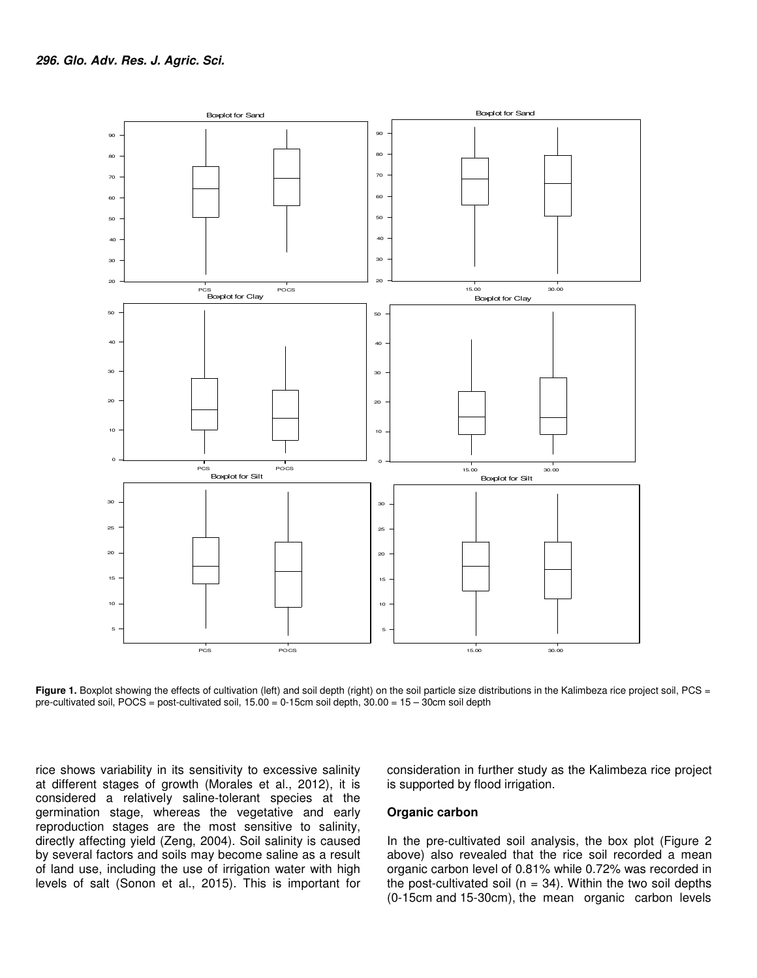

Figure 1. Boxplot showing the effects of cultivation (left) and soil depth (right) on the soil particle size distributions in the Kalimbeza rice project soil, PCS = pre-cultivated soil, POCS = post-cultivated soil, 15.00 = 0-15cm soil depth, 30.00 = 15 – 30cm soil depth

rice shows variability in its sensitivity to excessive salinity at different stages of growth (Morales et al., 2012), it is considered a relatively saline-tolerant species at the germination stage, whereas the vegetative and early reproduction stages are the most sensitive to salinity, directly affecting yield (Zeng, 2004). Soil salinity is caused by several factors and soils may become saline as a result of land use, including the use of irrigation water with high levels of salt (Sonon et al., 2015). This is important for consideration in further study as the Kalimbeza rice project is supported by flood irrigation.

#### **Organic carbon**

In the pre-cultivated soil analysis, the box plot (Figure 2 above) also revealed that the rice soil recorded a mean organic carbon level of 0.81% while 0.72% was recorded in the post-cultivated soil ( $n = 34$ ). Within the two soil depths (0-15cm and 15-30cm), the mean organic carbon levels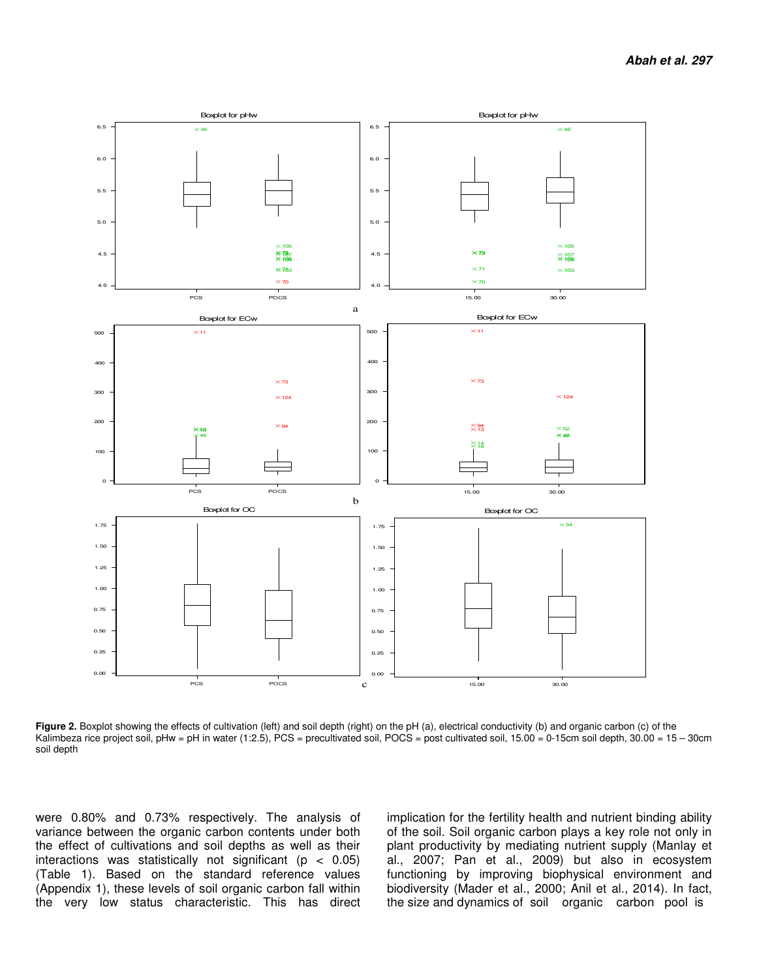

Figure 2. Boxplot showing the effects of cultivation (left) and soil depth (right) on the pH (a), electrical conductivity (b) and organic carbon (c) of the Kalimbeza rice project soil, pHw = pH in water (1:2.5), PCS = precultivated soil, POCS = post cultivated soil, 15.00 = 0-15cm soil depth, 30.00 = 15 - 30cm soil depth

were 0.80% and 0.73% respectively. The analysis of variance between the organic carbon contents under both the effect of cultivations and soil depths as well as their interactions was statistically not significant ( $p < 0.05$ ) (Table 1). Based on the standard reference values (Appendix 1), these levels of soil organic carbon fall within the very low status characteristic. This has direct

implication for the fertility health and nutrient binding ability of the soil. Soil organic carbon plays a key role not only in plant productivity by mediating nutrient supply (Manlay et al., 2007; Pan et al., 2009) but also in ecosystem functioning by improving biophysical environment and biodiversity (Mader et al., 2000; Anil et al., 2014). In fact, the size and dynamics of soil organic carbon pool is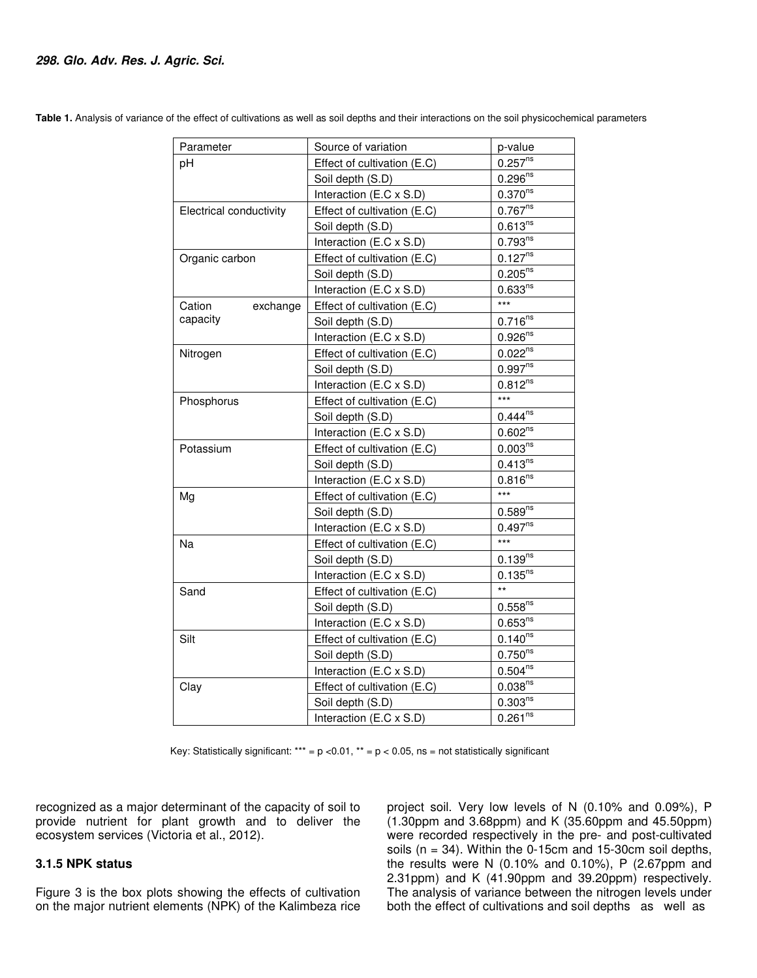| Parameter               | Source of variation         | p-value               |  |  |
|-------------------------|-----------------------------|-----------------------|--|--|
| рH                      | Effect of cultivation (E.C) | $0.257^{ns}$          |  |  |
|                         | Soil depth (S.D)            | $0.296^{ns}$          |  |  |
|                         | Interaction (E.C x S.D)     | $0.370^{ns}$          |  |  |
| Electrical conductivity | Effect of cultivation (E.C) | $0.767^{ns}$          |  |  |
|                         | Soil depth (S.D)            | $0.613^{ns}$          |  |  |
|                         | Interaction (E.C x S.D)     | $0.793^{ns}$          |  |  |
| Organic carbon          | Effect of cultivation (E.C) | $0.127^{ns}$          |  |  |
|                         | Soil depth (S.D)            | $0.205^{ns}$          |  |  |
|                         | Interaction (E.C x S.D)     | $0.633^{ns}$          |  |  |
| Cation<br>exchange      | Effect of cultivation (E.C) |                       |  |  |
| capacity                | Soil depth (S.D)            | $0.716^{ns}$          |  |  |
|                         | Interaction (E.C x S.D)     | $0.926^{ns}$          |  |  |
| Nitrogen                | Effect of cultivation (E.C) | $0.022^{ns}$          |  |  |
|                         | Soil depth (S.D)            | 0.997 <sup>ns</sup>   |  |  |
|                         | Interaction (E.C x S.D)     | $0.812^{ns}$          |  |  |
| Phosphorus              | Effect of cultivation (E.C) | $***$                 |  |  |
|                         | Soil depth (S.D)            | $0.444^{ns}$          |  |  |
|                         | Interaction (E.C x S.D)     | 0.602 <sup>ns</sup>   |  |  |
| Potassium               | Effect of cultivation (E.C) | 0.003 <sup>ns</sup>   |  |  |
|                         | Soil depth (S.D)            | $0.413^{ns}$          |  |  |
|                         | Interaction (E.C x S.D)     | $0.816^{ns}$          |  |  |
| Mg                      | Effect of cultivation (E.C) | $***$                 |  |  |
|                         | Soil depth (S.D)            | $0.589^{ns}$          |  |  |
|                         | Interaction (E.C x S.D)     | $0.497^{ns}$          |  |  |
| Na                      | Effect of cultivation (E.C) | $***$                 |  |  |
|                         | Soil depth (S.D)            | $0.139^{ns}$          |  |  |
|                         | Interaction (E.C x S.D)     | $0.135^{ns}$          |  |  |
| Sand                    | Effect of cultivation (E.C) | $\star\star$          |  |  |
|                         | Soil depth (S.D)            | $0.558^{ns}$          |  |  |
|                         | Interaction (E.C x S.D)     | 0.653 <sup>ns</sup>   |  |  |
| Silt                    | Effect of cultivation (E.C) | $0.140^{ns}$          |  |  |
|                         | Soil depth (S.D)            | $0.750$ <sup>ns</sup> |  |  |
|                         | Interaction (E.C x S.D)     | $0.504^{ns}$          |  |  |
| Clay                    | Effect of cultivation (E.C) | $0.038^{ns}$          |  |  |
|                         | Soil depth (S.D)            | 0.303 <sup>ns</sup>   |  |  |
|                         | Interaction (E.C x S.D)     | 0.261 <sup>ns</sup>   |  |  |

**Table 1.** Analysis of variance of the effect of cultivations as well as soil depths and their interactions on the soil physicochemical parameters

Key: Statistically significant: \*\*\* =  $p$  < 0.01, \*\* =  $p$  < 0.05, ns = not statistically significant

recognized as a major determinant of the capacity of soil to provide nutrient for plant growth and to deliver the ecosystem services (Victoria et al., 2012).

#### **3.1.5 NPK status**

Figure 3 is the box plots showing the effects of cultivation on the major nutrient elements (NPK) of the Kalimbeza rice

project soil. Very low levels of N (0.10% and 0.09%), P (1.30ppm and 3.68ppm) and K (35.60ppm and 45.50ppm) were recorded respectively in the pre- and post-cultivated soils  $(n = 34)$ . Within the 0-15cm and 15-30cm soil depths, the results were N (0.10% and 0.10%), P (2.67ppm and 2.31ppm) and K (41.90ppm and 39.20ppm) respectively. The analysis of variance between the nitrogen levels under both the effect of cultivations and soil depths as well as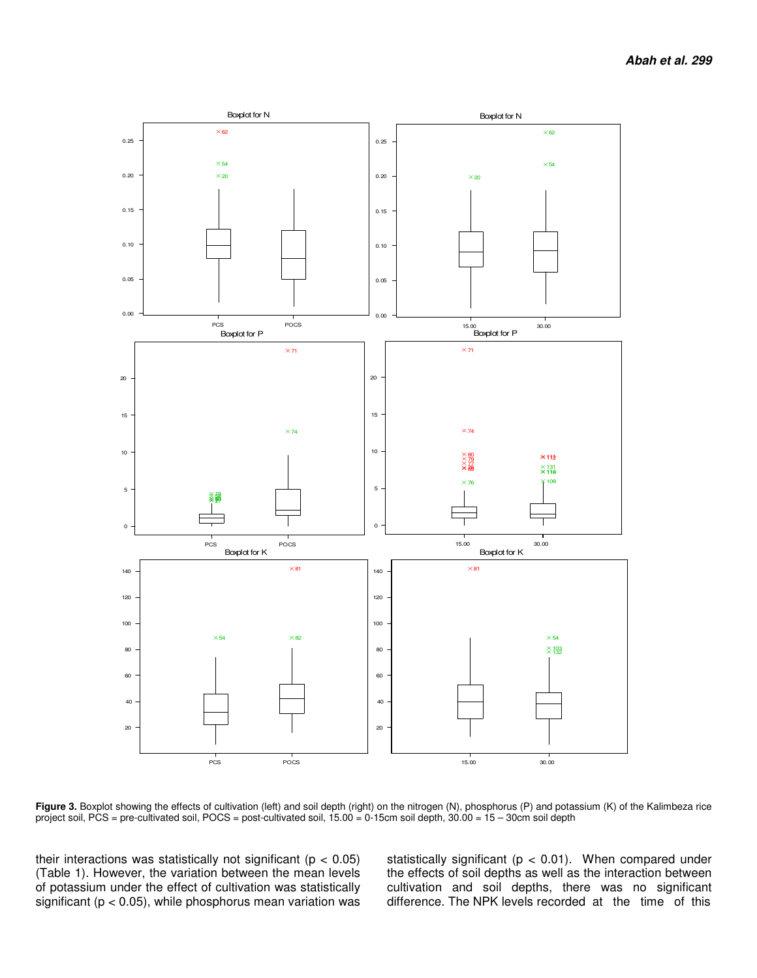

Figure 3. Boxplot showing the effects of cultivation (left) and soil depth (right) on the nitrogen (N), phosphorus (P) and potassium (K) of the Kalimbeza rice project soil, PCS = pre-cultivated soil, POCS = post-cultivated soil, 15.00 = 0-15cm soil depth, 30.00 = 15 – 30cm soil depth

their interactions was statistically not significant ( $p < 0.05$ ) (Table 1). However, the variation between the mean levels of potassium under the effect of cultivation was statistically significant ( $p < 0.05$ ), while phosphorus mean variation was statistically significant ( $p < 0.01$ ). When compared under the effects of soil depths as well as the interaction between cultivation and soil depths, there was no significant difference. The NPK levels recorded at the time of this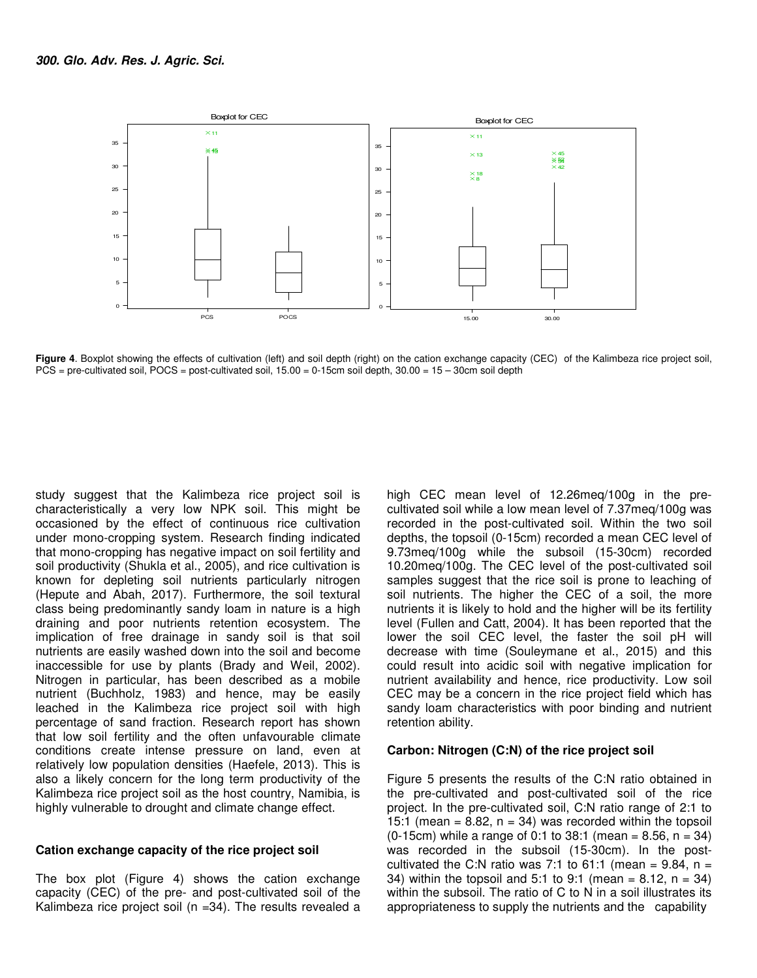

Figure 4. Boxplot showing the effects of cultivation (left) and soil depth (right) on the cation exchange capacity (CEC) of the Kalimbeza rice project soil, PCS = pre-cultivated soil, POCS = post-cultivated soil, 15.00 = 0-15cm soil depth, 30.00 = 15 – 30cm soil depth

study suggest that the Kalimbeza rice project soil is characteristically a very low NPK soil. This might be occasioned by the effect of continuous rice cultivation under mono-cropping system. Research finding indicated that mono-cropping has negative impact on soil fertility and soil productivity (Shukla et al., 2005), and rice cultivation is known for depleting soil nutrients particularly nitrogen (Hepute and Abah, 2017). Furthermore, the soil textural class being predominantly sandy loam in nature is a high draining and poor nutrients retention ecosystem. The implication of free drainage in sandy soil is that soil nutrients are easily washed down into the soil and become inaccessible for use by plants (Brady and Weil, 2002). Nitrogen in particular, has been described as a mobile nutrient (Buchholz, 1983) and hence, may be easily leached in the Kalimbeza rice project soil with high percentage of sand fraction. Research report has shown that low soil fertility and the often unfavourable climate conditions create intense pressure on land, even at relatively low population densities (Haefele, 2013). This is also a likely concern for the long term productivity of the Kalimbeza rice project soil as the host country, Namibia, is highly vulnerable to drought and climate change effect.

## **Cation exchange capacity of the rice project soil**

The box plot (Figure 4) shows the cation exchange capacity (CEC) of the pre- and post-cultivated soil of the Kalimbeza rice project soil (n =34). The results revealed a high CEC mean level of 12.26meq/100g in the precultivated soil while a low mean level of 7.37meq/100g was recorded in the post-cultivated soil. Within the two soil depths, the topsoil (0-15cm) recorded a mean CEC level of 9.73meq/100g while the subsoil (15-30cm) recorded 10.20meq/100g. The CEC level of the post-cultivated soil samples suggest that the rice soil is prone to leaching of soil nutrients. The higher the CEC of a soil, the more nutrients it is likely to hold and the higher will be its fertility level (Fullen and Catt, 2004). It has been reported that the lower the soil CEC level, the faster the soil pH will decrease with time (Souleymane et al., 2015) and this could result into acidic soil with negative implication for nutrient availability and hence, rice productivity. Low soil CEC may be a concern in the rice project field which has sandy loam characteristics with poor binding and nutrient retention ability.

#### **Carbon: Nitrogen (C:N) of the rice project soil**

Figure 5 presents the results of the C:N ratio obtained in the pre-cultivated and post-cultivated soil of the rice project. In the pre-cultivated soil, C:N ratio range of 2:1 to 15:1 (mean =  $8.82$ , n = 34) was recorded within the topsoil (0-15cm) while a range of 0:1 to 38:1 (mean = 8.56, n = 34) was recorded in the subsoil (15-30cm). In the postcultivated the C:N ratio was 7:1 to 61:1 (mean = 9.84,  $n =$ 34) within the topsoil and 5:1 to 9:1 (mean =  $8.12$ , n = 34) within the subsoil. The ratio of C to N in a soil illustrates its appropriateness to supply the nutrients and the capability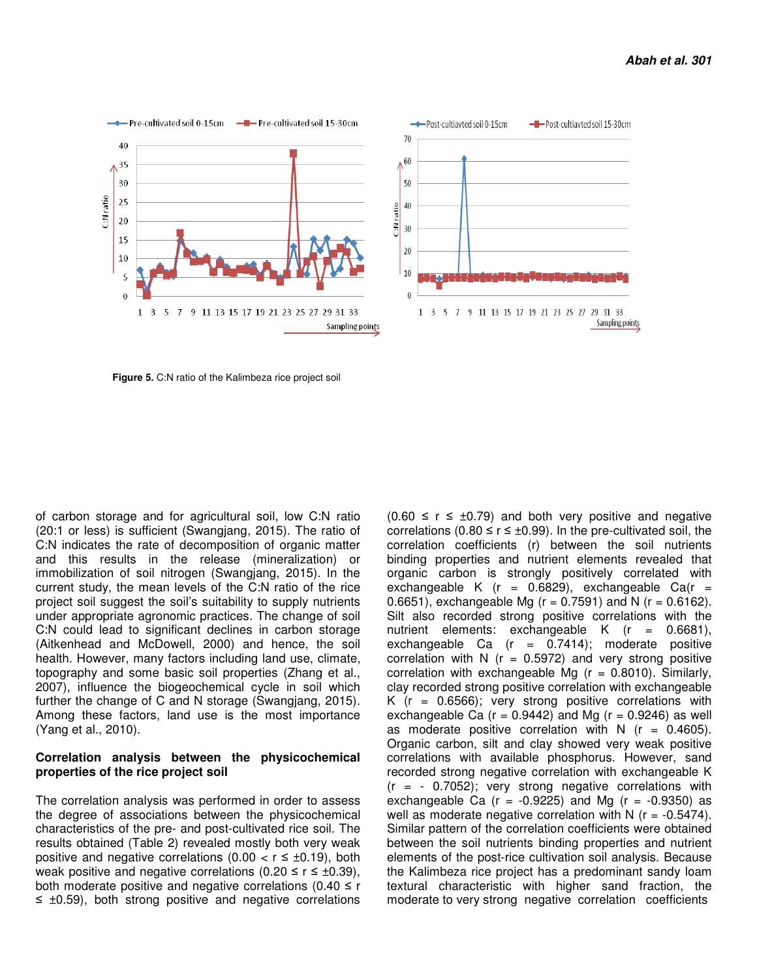

 **Figure 5.** C:N ratio of the Kalimbeza rice project soil

of carbon storage and for agricultural soil, low C:N ratio (20:1 or less) is sufficient (Swangjang, 2015). The ratio of C:N indicates the rate of decomposition of organic matter and this results in the release (mineralization) or immobilization of soil nitrogen (Swangjang, 2015). In the current study, the mean levels of the C:N ratio of the rice project soil suggest the soil's suitability to supply nutrients under appropriate agronomic practices. The change of soil C:N could lead to significant declines in carbon storage (Aitkenhead and McDowell, 2000) and hence, the soil health. However, many factors including land use, climate, topography and some basic soil properties (Zhang et al., 2007), influence the biogeochemical cycle in soil which further the change of C and N storage (Swangjang, 2015). Among these factors, land use is the most importance (Yang et al., 2010).

# **Correlation analysis between the physicochemical properties of the rice project soil**

The correlation analysis was performed in order to assess the degree of associations between the physicochemical characteristics of the pre- and post-cultivated rice soil. The results obtained (Table 2) revealed mostly both very weak positive and negative correlations  $(0.00 < r \leq \pm 0.19)$ , both weak positive and negative correlations (0.20  $\leq$  r  $\leq$  ±0.39), both moderate positive and negative correlations (0.40  $\leq$  r ≤ ±0.59), both strong positive and negative correlations

 $(0.60 \le r \le \pm 0.79)$  and both very positive and negative correlations (0.80  $\leq$  r  $\leq$  ±0.99). In the pre-cultivated soil, the correlation coefficients (r) between the soil nutrients binding properties and nutrient elements revealed that organic carbon is strongly positively correlated with exchangeable K  $(r = 0.6829)$ , exchangeable Ca $(r =$ 0.6651), exchangeable Mg ( $r = 0.7591$ ) and N ( $r = 0.6162$ ). Silt also recorded strong positive correlations with the nutrient elements: exchangeable K (r = 0.6681), exchangeable Ca  $(r = 0.7414)$ ; moderate positive correlation with N ( $r = 0.5972$ ) and very strong positive correlation with exchangeable Mg  $(r = 0.8010)$ . Similarly, clay recorded strong positive correlation with exchangeable K ( $r = 0.6566$ ); very strong positive correlations with exchangeable Ca ( $r = 0.9442$ ) and Mg ( $r = 0.9246$ ) as well as moderate positive correlation with  $N$  ( $r = 0.4605$ ). Organic carbon, silt and clay showed very weak positive correlations with available phosphorus. However, sand recorded strong negative correlation with exchangeable K  $(r = -0.7052)$ ; very strong negative correlations with exchangeable Ca ( $r = -0.9225$ ) and Mg ( $r = -0.9350$ ) as well as moderate negative correlation with N  $(r = -0.5474)$ . Similar pattern of the correlation coefficients were obtained between the soil nutrients binding properties and nutrient elements of the post-rice cultivation soil analysis. Because the Kalimbeza rice project has a predominant sandy loam textural characteristic with higher sand fraction, the moderate to very strong negative correlation coefficients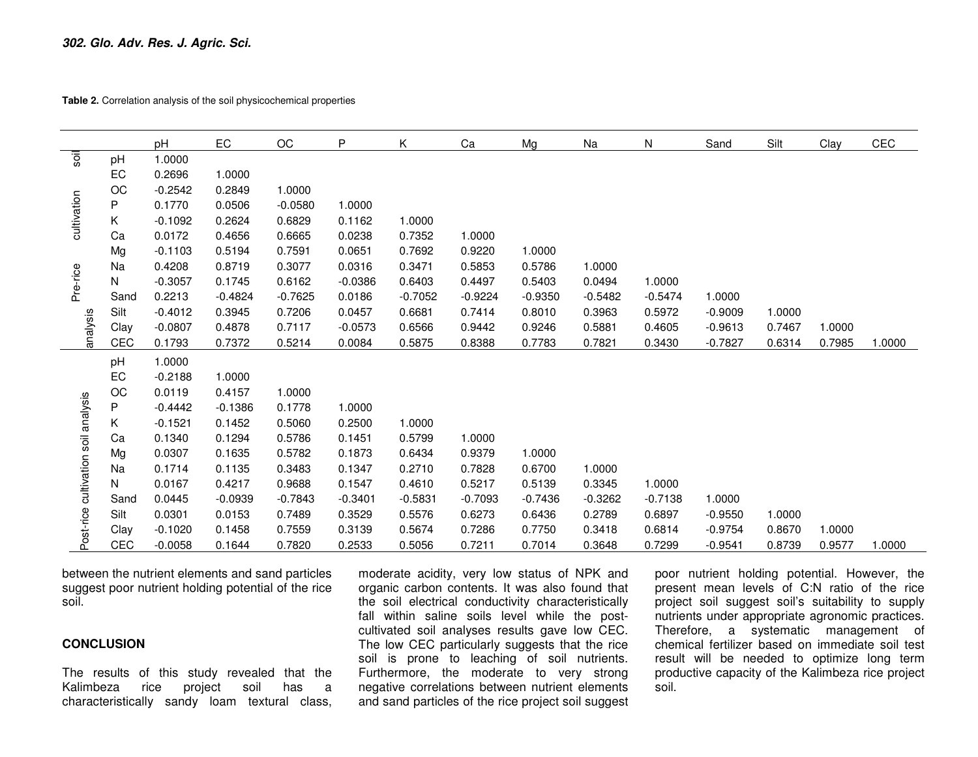**Table 2.** Correlation analysis of the soil physicochemical properties

|                                     |      | pH        | EC        | ОC        | P         | Κ         | Ca        | Mg        | Na        | N         | Sand      | Silt   | Clay   | CEC    |
|-------------------------------------|------|-----------|-----------|-----------|-----------|-----------|-----------|-----------|-----------|-----------|-----------|--------|--------|--------|
| soil                                | pH   | 1.0000    |           |           |           |           |           |           |           |           |           |        |        |        |
|                                     | EC   | 0.2696    | 1.0000    |           |           |           |           |           |           |           |           |        |        |        |
| cultivation                         | ОC   | $-0.2542$ | 0.2849    | 1.0000    |           |           |           |           |           |           |           |        |        |        |
|                                     | P    | 0.1770    | 0.0506    | $-0.0580$ | 1.0000    |           |           |           |           |           |           |        |        |        |
|                                     | Κ    | $-0.1092$ | 0.2624    | 0.6829    | 0.1162    | 1.0000    |           |           |           |           |           |        |        |        |
|                                     | Ca   | 0.0172    | 0.4656    | 0.6665    | 0.0238    | 0.7352    | 1.0000    |           |           |           |           |        |        |        |
|                                     | Mg   | $-0.1103$ | 0.5194    | 0.7591    | 0.0651    | 0.7692    | 0.9220    | 1.0000    |           |           |           |        |        |        |
| Pre-rice                            | Na   | 0.4208    | 0.8719    | 0.3077    | 0.0316    | 0.3471    | 0.5853    | 0.5786    | 1.0000    |           |           |        |        |        |
|                                     | N    | $-0.3057$ | 0.1745    | 0.6162    | $-0.0386$ | 0.6403    | 0.4497    | 0.5403    | 0.0494    | 1.0000    |           |        |        |        |
|                                     | Sand | 0.2213    | $-0.4824$ | $-0.7625$ | 0.0186    | $-0.7052$ | $-0.9224$ | $-0.9350$ | $-0.5482$ | $-0.5474$ | 1.0000    |        |        |        |
|                                     | Silt | $-0.4012$ | 0.3945    | 0.7206    | 0.0457    | 0.6681    | 0.7414    | 0.8010    | 0.3963    | 0.5972    | $-0.9009$ | 1.0000 |        |        |
| analysis                            | Clay | $-0.0807$ | 0.4878    | 0.7117    | $-0.0573$ | 0.6566    | 0.9442    | 0.9246    | 0.5881    | 0.4605    | $-0.9613$ | 0.7467 | 1.0000 |        |
|                                     | CEC  | 0.1793    | 0.7372    | 0.5214    | 0.0084    | 0.5875    | 0.8388    | 0.7783    | 0.7821    | 0.3430    | $-0.7827$ | 0.6314 | 0.7985 | 1.0000 |
|                                     | pH   | 1.0000    |           |           |           |           |           |           |           |           |           |        |        |        |
|                                     | EC   | $-0.2188$ | 1.0000    |           |           |           |           |           |           |           |           |        |        |        |
|                                     | OC   | 0.0119    | 0.4157    | 1.0000    |           |           |           |           |           |           |           |        |        |        |
| Post-rice cultivation soil analysis | P    | $-0.4442$ | $-0.1386$ | 0.1778    | 1.0000    |           |           |           |           |           |           |        |        |        |
|                                     | Κ    | $-0.1521$ | 0.1452    | 0.5060    | 0.2500    | 1.0000    |           |           |           |           |           |        |        |        |
|                                     | Ca   | 0.1340    | 0.1294    | 0.5786    | 0.1451    | 0.5799    | 1.0000    |           |           |           |           |        |        |        |
|                                     | Mg   | 0.0307    | 0.1635    | 0.5782    | 0.1873    | 0.6434    | 0.9379    | 1.0000    |           |           |           |        |        |        |
|                                     | Na   | 0.1714    | 0.1135    | 0.3483    | 0.1347    | 0.2710    | 0.7828    | 0.6700    | 1.0000    |           |           |        |        |        |
|                                     | N    | 0.0167    | 0.4217    | 0.9688    | 0.1547    | 0.4610    | 0.5217    | 0.5139    | 0.3345    | 1.0000    |           |        |        |        |
|                                     | Sand | 0.0445    | $-0.0939$ | $-0.7843$ | $-0.3401$ | $-0.5831$ | $-0.7093$ | $-0.7436$ | $-0.3262$ | $-0.7138$ | 1.0000    |        |        |        |
|                                     | Silt | 0.0301    | 0.0153    | 0.7489    | 0.3529    | 0.5576    | 0.6273    | 0.6436    | 0.2789    | 0.6897    | $-0.9550$ | 1.0000 |        |        |
|                                     | Clay | $-0.1020$ | 0.1458    | 0.7559    | 0.3139    | 0.5674    | 0.7286    | 0.7750    | 0.3418    | 0.6814    | $-0.9754$ | 0.8670 | 1.0000 |        |
|                                     | CEC  | $-0.0058$ | 0.1644    | 0.7820    | 0.2533    | 0.5056    | 0.7211    | 0.7014    | 0.3648    | 0.7299    | $-0.9541$ | 0.8739 | 0.9577 | 1.0000 |

between the nutrient elements and sand particles suggest poor nutrient holding potential of the ricesoil.

### **CONCLUSION**

The results of this study revealed that the  $\overline{a}$ Kalimbeza rice project soil has characteristically sandy loam textural class, moderate acidity, very low status of NPK and organic carbon contents. It was also found that the soil electrical conductivity characteristically fall within saline soils level while the postcultivated soil analyses results gave low CEC. The low CEC particularly suggests that the rice soil is prone to leaching of soil nutrients. Furthermore, the moderate to very strong negative correlations between nutrient elements and sand particles of the rice project soil suggest

poor nutrient holding potential. However, the present mean levels of C:N ratio of the rice project soil suggest soil's suitability to supply nutrients under appropriate agronomic practices. Therefore, a systematic management of chemical fertilizer based on immediate soil test result will be needed to optimize long term productive capacity of the Kalimbeza rice project soil.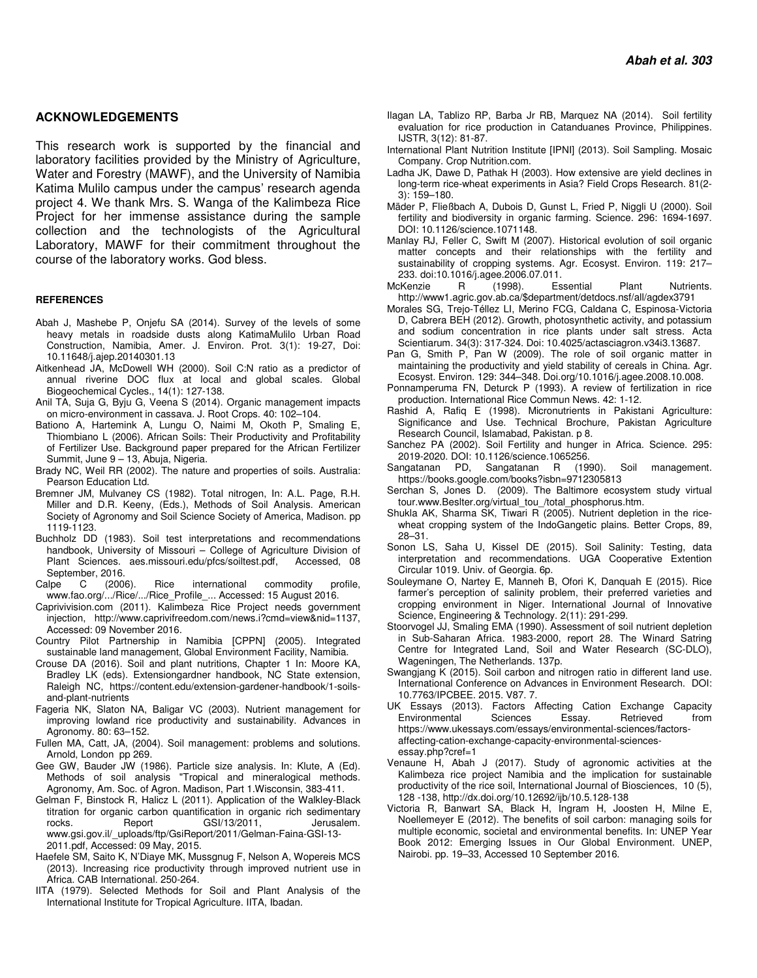#### **ACKNOWLEDGEMENTS**

This research work is supported by the financial and laboratory facilities provided by the Ministry of Agriculture, Water and Forestry (MAWF), and the University of Namibia Katima Mulilo campus under the campus' research agenda project 4. We thank Mrs. S. Wanga of the Kalimbeza Rice Project for her immense assistance during the sample collection and the technologists of the Agricultural Laboratory, MAWF for their commitment throughout the course of the laboratory works. God bless.

#### **REFERENCES**

- Abah J, Mashebe P, Onjefu SA (2014). Survey of the levels of some heavy metals in roadside dusts along KatimaMulilo Urban Road Construction, Namibia, Amer. J. Environ. Prot. 3(1): 19-27, Doi: 10.11648/j.ajep.20140301.13
- Aitkenhead JA, McDowell WH (2000). Soil C:N ratio as a predictor of annual riverine DOC flux at local and global scales. Global Biogeochemical Cycles., 14(1): 127-138.
- Anil TA, Suja G, Byju G, Veena S (2014). Organic management impacts on micro-environment in cassava. J. Root Crops. 40: 102–104.
- Bationo A, Hartemink A, Lungu O, Naimi M, Okoth P, Smaling E, Thiombiano L (2006). African Soils: Their Productivity and Profitability of Fertilizer Use. Background paper prepared for the African Fertilizer Summit, June 9 – 13, Abuja, Nigeria.
- Brady NC, Weil RR (2002). The nature and properties of soils. Australia: Pearson Education Ltd.
- Bremner JM, Mulvaney CS (1982). Total nitrogen, In: A.L. Page, R.H. Miller and D.R. Keeny, (Eds.), Methods of Soil Analysis. American Society of Agronomy and Soil Science Society of America, Madison. pp 1119-1123.
- Buchholz DD (1983). Soil test interpretations and recommendations handbook, University of Missouri – College of Agriculture Division of Plant Sciences, aes.missouri.edu/pfcs/soiltest.pdf. Accessed. 08 Plant Sciences. aes.missouri.edu/pfcs/soiltest.pdf, September, 2016.
- Calpe C (2006). Rice international commodity profile, www.fao.org/.../Rice/.../Rice\_Profile\_... Accessed: 15 August 2016.
- Caprivivision.com (2011). Kalimbeza Rice Project needs government injection, http://www.caprivifreedom.com/news.i?cmd=view&nid=1137, Accessed: 09 November 2016.
- Country Pilot Partnership in Namibia [CPPN] (2005). Integrated sustainable land management, Global Environment Facility, Namibia.
- Crouse DA (2016). Soil and plant nutritions, Chapter 1 In: Moore KA, Bradley LK (eds). Extensiongardner handbook, NC State extension, Raleigh NC, https://content.edu/extension-gardener-handbook/1-soilsand-plant-nutrients
- Fageria NK, Slaton NA, Baligar VC (2003). Nutrient management for improving lowland rice productivity and sustainability. Advances in Agronomy. 80: 63–152.
- Fullen MA, Catt, JA, (2004). Soil management: problems and solutions. Arnold, London pp 269.
- Gee GW, Bauder JW (1986). Particle size analysis. In: Klute, A (Ed). Methods of soil analysis "Tropical and mineralogical methods. Agronomy, Am. Soc. of Agron. Madison, Part 1.Wisconsin, 383-411.
- Gelman F, Binstock R, Halicz L (2011). Application of the Walkley-Black titration for organic carbon quantification in organic rich sedimentary<br>rocks. Report GSI/13/2011. Jerusalem. rocks. Report GSI/13/2011, Jerusalem. www.gsi.gov.il/\_uploads/ftp/GsiReport/2011/Gelman-Faina-GSI-13- 2011.pdf, Accessed: 09 May, 2015.
- Haefele SM, Saito K, N'Diaye MK, Mussgnug F, Nelson A, Wopereis MCS (2013). Increasing rice productivity through improved nutrient use in Africa. CAB International. 250-264.
- IITA (1979). Selected Methods for Soil and Plant Analysis of the International Institute for Tropical Agriculture. IITA, Ibadan.
- Ilagan LA, Tablizo RP, Barba Jr RB, Marquez NA (2014). Soil fertility evaluation for rice production in Catanduanes Province, Philippines. IJSTR, 3(12): 81-87.
- International Plant Nutrition Institute [IPNI] (2013). Soil Sampling. Mosaic Company. Crop Nutrition.com.
- Ladha JK, Dawe D, Pathak H (2003). How extensive are yield declines in long-term rice-wheat experiments in Asia? Field Crops Research. 81(2- 3): 159–180.
- Mäder P, Fließbach A, Dubois D, Gunst L, Fried P, Niggli U (2000). Soil fertility and biodiversity in organic farming. Science. 296: 1694-1697. DOI: 10.1126/science.1071148.
- Manlay RJ, Feller C, Swift M (2007). Historical evolution of soil organic matter concepts and their relationships with the fertility and sustainability of cropping systems. Agr. Ecosyst. Environ. 119: 217– 233. doi:10.1016/j.agee.2006.07.011.
- McKenzie R (1998). Essential Plant Nutrients. http://www1.agric.gov.ab.ca/\$department/detdocs.nsf/all/agdex3791
- Morales SG, Trejo-Téllez LI, Merino FCG, Caldana C, Espinosa-Victoria D, Cabrera BEH (2012). Growth, photosynthetic activity, and potassium and sodium concentration in rice plants under salt stress. Acta Scientiarum. 34(3): 317-324. Doi: 10.4025/actasciagron.v34i3.13687.
- Pan G, Smith P, Pan W (2009). The role of soil organic matter in maintaining the productivity and yield stability of cereals in China. Agr. Ecosyst. Environ. 129: 344–348. Doi.org/10.1016/j.agee.2008.10.008.
- Ponnamperuma FN, Deturck P (1993). A review of fertilization in rice production. International Rice Commun News. 42: 1-12.
- Rashid A, Rafiq E (1998). Micronutrients in Pakistani Agriculture: Significance and Use. Technical Brochure, Pakistan Agriculture Research Council, Islamabad, Pakistan. p 8.
- Sanchez PA (2002). Soil Fertility and hunger in Africa. Science. 295: 2019-2020. DOI: 10.1126/science.1065256.
- Sangatanan PD, Sangatanan R (1990). Soil management. https://books.google.com/books?isbn=9712305813
- Serchan S, Jones D. (2009). The Baltimore ecosystem study virtual tour.www.Beslter.org/virtual\_tou\_/total\_phosphorus.htm.
- Shukla AK, Sharma SK, Tiwari R (2005). Nutrient depletion in the ricewheat cropping system of the IndoGangetic plains. Better Crops, 89, 28–31.
- Sonon LS, Saha U, Kissel DE (2015). Soil Salinity: Testing, data interpretation and recommendations. UGA Cooperative Extention Circular 1019. Univ. of Georgia. 6p.
- Souleymane O, Nartey E, Manneh B, Ofori K, Danquah E (2015). Rice farmer's perception of salinity problem, their preferred varieties and cropping environment in Niger. International Journal of Innovative Science, Engineering & Technology. 2(11): 291-299.
- Stoorvogel JJ, Smaling EMA (1990). Assessment of soil nutrient depletion in Sub-Saharan Africa. 1983-2000, report 28. The Winard Satring Centre for Integrated Land, Soil and Water Research (SC-DLO), Wageningen, The Netherlands. 137p.
- Swangjang K (2015). Soil carbon and nitrogen ratio in different land use. International Conference on Advances in Environment Research. DOI: 10.7763/IPCBEE. 2015. V87. 7.
- UK Essays (2013). Factors Affecting Cation Exchange Capacity Environmental Sciences Essay. Retrieved from https://www.ukessays.com/essays/environmental-sciences/factorsaffecting-cation-exchange-capacity-environmental-sciencesessay.php?cref=1
- Venaune H, Abah J (2017). Study of agronomic activities at the Kalimbeza rice project Namibia and the implication for sustainable productivity of the rice soil, International Journal of Biosciences, 10 (5), 128 -138, http://dx.doi.org/10.12692/ijb/10.5.128-138
- Victoria R, Banwart SA, Black H, Ingram H, Joosten H, Milne E, Noellemeyer E (2012). The benefits of soil carbon: managing soils for multiple economic, societal and environmental benefits. In: UNEP Year Book 2012: Emerging Issues in Our Global Environment. UNEP, Nairobi. pp. 19–33, Accessed 10 September 2016.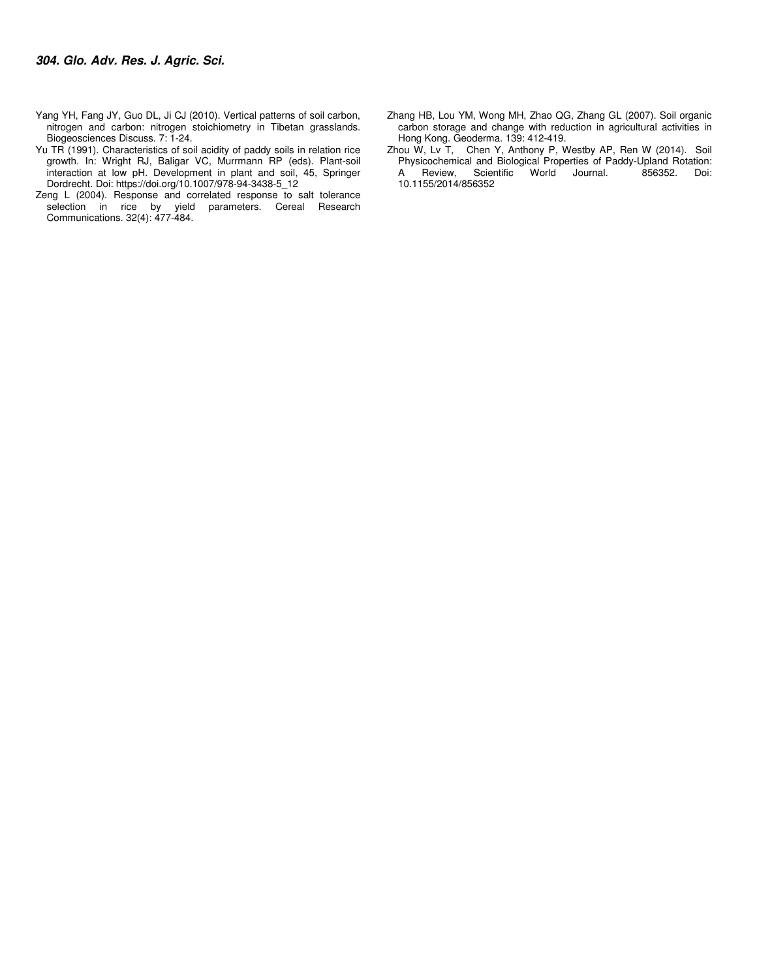- Yang YH, Fang JY, Guo DL, Ji CJ (2010). Vertical patterns of soil carbon, nitrogen and carbon: nitrogen stoichiometry in Tibetan grasslands. Biogeosciences Discuss. 7: 1-24.
- Yu TR (1991). Characteristics of soil acidity of paddy soils in relation rice growth. In: Wright RJ, Baligar VC, Murrmann RP (eds). Plant-soil interaction at low pH. Development in plant and soil, 45, Springer Dordrecht. Doi: https://doi.org/10.1007/978-94-3438-5\_12
- Zeng L (2004). Response and correlated response to salt tolerance selection in rice by yield parameters. Cereal Research Communications. 32(4): 477-484.
- Zhang HB, Lou YM, Wong MH, Zhao QG, Zhang GL (2007). Soil organic carbon storage and change with reduction in agricultural activities in Hong Kong. Geoderma. 139: 412-419.
- Zhou W, Lv T, Chen Y, Anthony P, Westby AP, Ren W (2014). Soil Physicochemical and Biological Properties of Paddy-Upland Rotation: Scientific World 10.1155/2014/856352